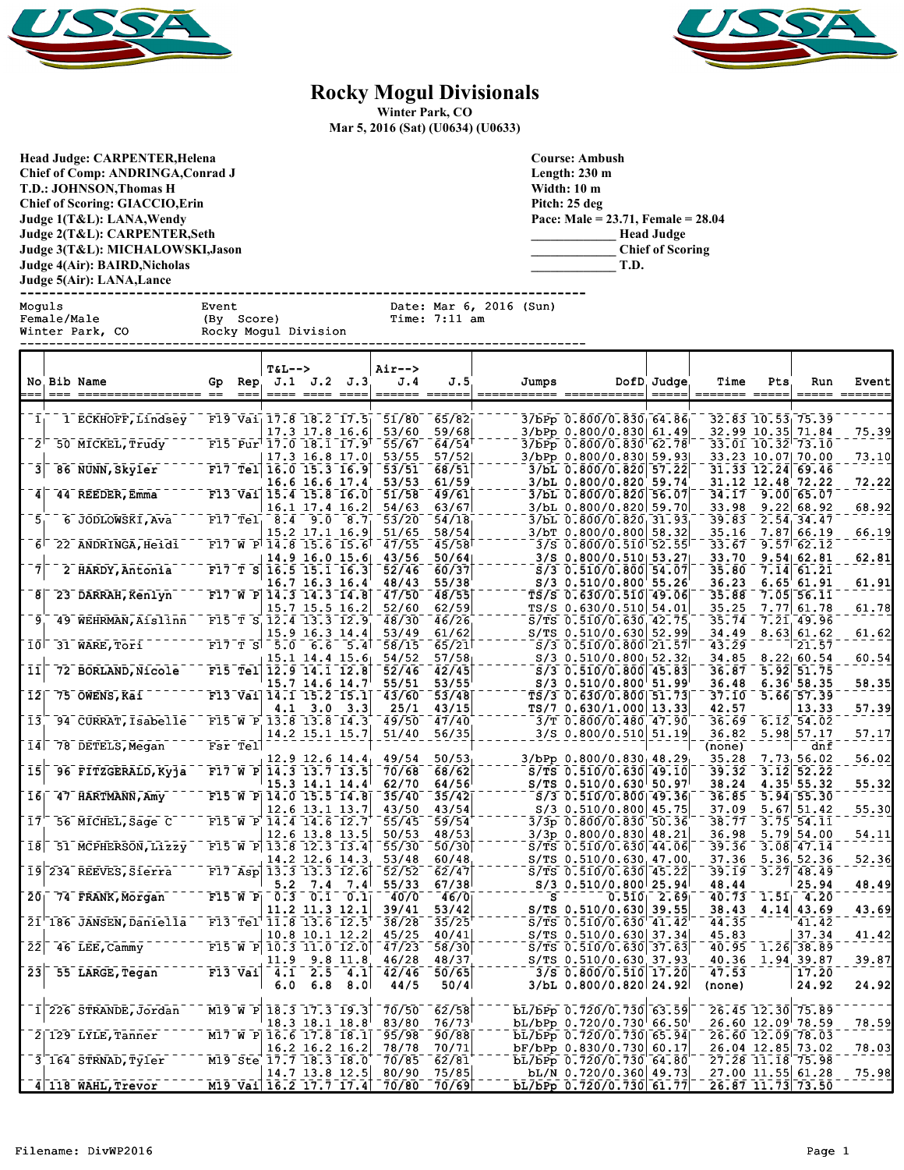



## **Rocky Mogul Divisionals**

**Winter Park, CO**

**Mar 5, 2016 (Sat) (U0634) (U0633)**

**Head Judge: CARPENTER,Helena Chief of Comp: ANDRINGA,Conrad J T.D.: JOHNSON,Thomas H Chief of Scoring: GIACCIO,Erin Judge 1(T&L): LANA,Wendy Judge 2(T&L): CARPENTER,Seth Judge 3(T&L): MICHALOWSKI,Jason Judge 4(Air): BAIRD,Nicholas Judge 5(Air): LANA,Lance**  **Course: Ambush Length: 230 m Width: 10 m Pitch: 25 deg Pace: Male = 23.71, Female = 28.04 \_\_\_\_\_\_\_\_\_\_\_\_\_ Head Judge \_\_\_\_\_\_\_\_\_\_\_\_\_ Chief of Scoring \_\_\_\_\_\_\_\_\_\_\_\_\_ T.D.**

------------------------------------------------------------------------------ Date: Mar 6, 2016 (Sun) Female/Male (By Score) Time: 7:11 am<br>
Winter Park, CO Rocky Mogul Division

Rocky Mogul Division ------------------------------------------------------------------------------

|                            |     | No Bib Name             | Gp | Rep.        | T&L-->                                                           | J.1 J.2    | J.3                     | Air--><br>J.4                                                                                                                                                                                                                                                                                                                                                                                                                                                                                                                                                                                                                           | J.5                     | Jumps       |                                                                               | DofD. Judge                                                                                                                                                                                                                                                                                                                                                                                     | Time            | Pts  | Run                                                         | Event          |
|----------------------------|-----|-------------------------|----|-------------|------------------------------------------------------------------|------------|-------------------------|-----------------------------------------------------------------------------------------------------------------------------------------------------------------------------------------------------------------------------------------------------------------------------------------------------------------------------------------------------------------------------------------------------------------------------------------------------------------------------------------------------------------------------------------------------------------------------------------------------------------------------------------|-------------------------|-------------|-------------------------------------------------------------------------------|-------------------------------------------------------------------------------------------------------------------------------------------------------------------------------------------------------------------------------------------------------------------------------------------------------------------------------------------------------------------------------------------------|-----------------|------|-------------------------------------------------------------|----------------|
|                            | --- | ================= ==    |    | $=$ $=$ $=$ |                                                                  |            | <u>---- ---- ----</u>   | $\begin{tabular}{lllll} \bf \textcolor{red}{\color{black}} \textcolor{red}{\color{black}} \textcolor{red}{\color{black}} \textcolor{red}{\color{black}} \textcolor{red}{\color{black}} \textcolor{red}{\color{black}} \textcolor{red}{\color{black}} \textcolor{red}{\color{black}} \textcolor{red}{\color{black}} \textcolor{red}{\color{black}} \textcolor{red}{\color{black}} \textcolor{red}{\color{black}} \textcolor{red}{\color{black}} \textcolor{red}{\color{black}} \textcolor{red}{\color{black}} \textcolor{red}{\color{black}} \textcolor{red}{\color{black}} \textcolor{red}{\color{black}} \textcolor{red}{\color{black$ |                         | =========== | ===========                                                                   | $\qquad \qquad \dfrac{1}{1} \frac{1}{1} \frac{1}{1} \frac{1}{1} \frac{1}{1} \frac{1}{1} \frac{1}{1} \frac{1}{1} \frac{1}{1} \frac{1}{1} \frac{1}{1} \frac{1}{1} \frac{1}{1} \frac{1}{1} \frac{1}{1} \frac{1}{1} \frac{1}{1} \frac{1}{1} \frac{1}{1} \frac{1}{1} \frac{1}{1} \frac{1}{1} \frac{1}{1} \frac{1}{1} \frac{1}{1} \frac{1}{1} \frac{1}{1} \frac{1}{1} \frac{1}{1} \frac{1}{1} \frac{$ |                 |      |                                                             | ----- -------  |
| 1                          |     | 1 ECKHOFF, Lindsey      |    |             | F19 Vai $17.8$ 18.2 17.5                                         |            |                         | 51/80                                                                                                                                                                                                                                                                                                                                                                                                                                                                                                                                                                                                                                   | 65/82                   |             | 3/bPp 0.800/0.830 64.86                                                       |                                                                                                                                                                                                                                                                                                                                                                                                 |                 |      | 32.83 10.53 75.39                                           |                |
| $2^1$                      |     | 50 MICKEL, Trudy        |    |             | F15 Pur <sup><math>17.0</math></sup> 18.1 17.9<br>17.3 16.8 17.0 |            | 17.3 17.8 16.6          | 53/60<br>55/67<br>53/55                                                                                                                                                                                                                                                                                                                                                                                                                                                                                                                                                                                                                 | 59/68<br>64/54<br>57/52 |             | 3/bPp 0.800/0.830 61.49<br>3/bPp 0.800/0.830 62.78<br>3/bPp 0.800/0.830 59.93 |                                                                                                                                                                                                                                                                                                                                                                                                 |                 |      | 32.99 10.35 71.84<br>33.01 10.32 73.10<br>33.23 10.07 70.00 | 75.39<br>73.10 |
| з                          |     | 86 NUNN, Skyler         |    |             | F17 Tel 16.0 15.3 16.9                                           |            | 16.6 16.6 17.4          | 53/51<br>53/53                                                                                                                                                                                                                                                                                                                                                                                                                                                                                                                                                                                                                          | 68/51<br>61/59          |             | 3/bL 0.800/0.820 57.22<br>3/bL 0.800/0.820 59.74                              |                                                                                                                                                                                                                                                                                                                                                                                                 |                 |      | 31, 33 12, 24 69, 46<br>31.12 12.48 72.22                   | 72.22          |
| 4                          |     | 44 REEDER, Emma         |    |             | F13 Vai $15.4$ 15.8 16.0<br>16.1 17.4 16.2                       |            |                         | 51/58<br>54/63                                                                                                                                                                                                                                                                                                                                                                                                                                                                                                                                                                                                                          | 49/61<br>63/67          |             | $3/bL$ 0.800/0.820 56.07<br>3/bL 0.800/0.820 59.70                            |                                                                                                                                                                                                                                                                                                                                                                                                 | 34.17<br>33.98  |      | 9.00 65.07<br>$9.22$ 68.92                                  | 68.92          |
| 5                          |     | 6 JODLOWSKI, Ava        |    |             | $F17$ Tel 8.4                                                    | 9.0        | 8.7<br>15.2 17.1 16.9   | 53/20<br>51/65                                                                                                                                                                                                                                                                                                                                                                                                                                                                                                                                                                                                                          | 54/18<br>58/54          |             | $3/bL$ 0.800/0.820 31.93<br>3/bT 0.800/0.800 58.32                            |                                                                                                                                                                                                                                                                                                                                                                                                 | 39.83<br>35.16  |      | 2.54, 34.47<br>7.87 66.19                                   | 66.19          |
| 6                          |     | 22 ANDRINGA, Heidi      |    |             | F17 W P $14.8$ 15.6 15.6                                         |            | 14.9 16.0 15.6          | 47/55<br>43/56                                                                                                                                                                                                                                                                                                                                                                                                                                                                                                                                                                                                                          | 45/58<br>50/64          |             | $3/S$ 0.800/0.510 52.55<br>$3/S$ 0.800/0.510 53.27                            |                                                                                                                                                                                                                                                                                                                                                                                                 | 33.67<br>33.70  |      | $9.57 \, 62.12$<br>9.54 62.81                               | 62.81          |
| $\overline{7}$             |     | 2 HARDY, Antonia        |    |             | F17 T S 16.5 15.1 16.3                                           |            | 16.7 16.3 16.4          | 52/46<br>48/43                                                                                                                                                                                                                                                                                                                                                                                                                                                                                                                                                                                                                          | 60/37<br>55/38          |             | $S/3$ 0.510/0.800 54.07<br>$S/3$ 0.510/0.800 55.26                            |                                                                                                                                                                                                                                                                                                                                                                                                 | 35.80<br>36.23  | 7.14 | 61.21<br>$6.65$ $61.91$                                     | 61.91          |
| 8                          |     | 23 DARRAH, Kenlyn       |    |             | F17 W P $14.3$ 14.3 14.8<br>15.7 15.5 16.2                       |            |                         | 47/50<br>52/60                                                                                                                                                                                                                                                                                                                                                                                                                                                                                                                                                                                                                          | 48/55<br>62/59          |             | TS/S 0.630/0.510 49.06<br>TS/S 0.630/0.510 54.01                              |                                                                                                                                                                                                                                                                                                                                                                                                 | 35.88<br>35.25  | 7.05 | 56.11<br>7.77   61.78                                       | 61.78          |
| 9                          |     | 49 WEHRMAN, Aislinn     |    |             | F15 T S 12.4 13.3 12.9<br>15.9 16.3 14.4                         |            |                         | 48/30<br>53/49                                                                                                                                                                                                                                                                                                                                                                                                                                                                                                                                                                                                                          | 46/26<br>61/62          |             | $S/TS$ 0.510/0.630, 42.75<br>$S/TS$ 0.510/0.630 52.99                         |                                                                                                                                                                                                                                                                                                                                                                                                 | 35.74<br>34.49  |      | 7.21 49.96<br>8.63 61.62                                    | 61.62          |
| 10                         |     | 31 WARE, Tori           |    | $F17$ T S   | 5.0                                                              | 6.6        | 5.4<br>$15.1$ 14.4 15.6 | 58/15<br>54/52                                                                                                                                                                                                                                                                                                                                                                                                                                                                                                                                                                                                                          | 65/21<br>57/58          |             | $S/3$ 0.510/0.800 21.57<br>$S/3$ 0.510/0.800 52.32                            |                                                                                                                                                                                                                                                                                                                                                                                                 | 43.29<br>34.85  |      | 21.57<br>$8.22 \mid 60.54$                                  | 60.54          |
| $\bar{1}\bar{1}$           |     | 72 BORLAND, Nicole      |    |             | F15 Tel 12.9 14.1 12.8                                           |            | 15.7 14.6 14.7          | 52/46<br>55/51                                                                                                                                                                                                                                                                                                                                                                                                                                                                                                                                                                                                                          | 42/45<br>53/55          |             | $S/3$ 0.510/0.800 45.83<br>S/3 0.510/0.800 51.99                              |                                                                                                                                                                                                                                                                                                                                                                                                 | 36.87<br>36.48  | 5.92 | 51.75<br>6.36'58.35                                         | 58.35          |
| $\overline{1}\overline{2}$ |     | 75 OWENS, Kai           |    |             | F13 Vai 14.1 15.2 15.1<br>4.1                                    |            | $3.0 \quad 3.3$         | 43/60<br>25/1                                                                                                                                                                                                                                                                                                                                                                                                                                                                                                                                                                                                                           | 53/48<br>43/15          |             | TS/3 0.630/0.800 51.73<br>TS/7 0.630/1.000 13.33                              |                                                                                                                                                                                                                                                                                                                                                                                                 | 37.10<br>42.57  | 5.66 | 57.39<br>13.33                                              | 57.39          |
| $\bar{1}\bar{3}$           |     | 94 CURRAT, Isabelle     |    |             | F15 W P 13.8 13.8 14.3<br>14.2 15.1 15.7                         |            |                         | 49/50<br>51/40                                                                                                                                                                                                                                                                                                                                                                                                                                                                                                                                                                                                                          | 47/40<br>56/35          |             | 3/T 0.800/0.480 47.90<br>$3/S$ 0.800/0.510 51.19                              |                                                                                                                                                                                                                                                                                                                                                                                                 | 36.69<br>36.82  |      | 6.12, 54.02<br>$5.98$ $57.17$                               | 57.17          |
| 14                         |     | 78 DETELS, Megan        |    | Fsr Tel     |                                                                  |            | $12.9$ 12.6 14.4        | 49/54                                                                                                                                                                                                                                                                                                                                                                                                                                                                                                                                                                                                                                   | 50/53                   |             | $3/bPp 0.800/0.830$ 48.29                                                     |                                                                                                                                                                                                                                                                                                                                                                                                 | (none)<br>35.28 |      | dnf<br>7.73, 56.02                                          | 56.02          |
| 15                         |     | 96 FITZGERALD, Kyja     |    |             | F17 W P $14.3$ 13.7 13.5<br>15.3 14.1 14.4                       |            |                         | 70/68<br>62/70                                                                                                                                                                                                                                                                                                                                                                                                                                                                                                                                                                                                                          | 68/62<br>64/56          |             | $S/TS$ 0.510/0.630 49.10<br>$S/TS$ 0.510/0.630 50.97                          |                                                                                                                                                                                                                                                                                                                                                                                                 | 39.32<br>38.24  | 3.12 | 52.22<br>$4.35$ 55.32                                       | 55.32          |
| $\bar{1}\bar{6}$           |     | 47 HARTMANN, Amy        |    |             | F15 W P $14.0$ 15.5 14.8<br>12.6 13.1 13.7                       |            |                         | 35/40<br>43/50                                                                                                                                                                                                                                                                                                                                                                                                                                                                                                                                                                                                                          | 35/42<br>43/54          |             | $S/3$ 0.510/0.800 49.36<br>$S/3$ 0.510/0.800 45.75                            |                                                                                                                                                                                                                                                                                                                                                                                                 | 36.85<br>37.09  |      | $5.94$ 55.30<br>$5.67$ $51.42$                              | 55.30          |
| 17                         |     | 56 MICHEL, Sage C       |    |             | F15 W P 14.4 14.6 12.7<br>12.6 13.8 13.5                         |            |                         | 55/45<br>50/53                                                                                                                                                                                                                                                                                                                                                                                                                                                                                                                                                                                                                          | 59/54<br>48/53          |             | 3/3p 0.800/0.830 50.36<br>$3/3p$ 0.800/0.830 48.21                            |                                                                                                                                                                                                                                                                                                                                                                                                 | 38.77<br>36.98  | 3.75 | 54.11<br>$5.79$ $54.00$                                     | 54.11          |
| 18                         |     | 51 MCPHERSON, Lizzy     |    |             | F15 W P $13.8$ 12.3 13.4                                         |            | 14.2 12.6 14.3          | 55/30<br>53/48                                                                                                                                                                                                                                                                                                                                                                                                                                                                                                                                                                                                                          | 50/30<br>60/48          |             | $S/TS$ 0.510/0.630 44.06<br>$S/TS$ 0.510/0.630 47.00                          |                                                                                                                                                                                                                                                                                                                                                                                                 | 39.36<br>37.36  |      | $3.08$ 47.14<br>5.36, 52.36                                 | 52.36          |
|                            |     | 19 234 REEVES, Sierra   |    |             | F17 Asp 13.3 13.3 12.6<br>5.2                                    | 7.4        | 7.4                     | 52/52<br>55/33                                                                                                                                                                                                                                                                                                                                                                                                                                                                                                                                                                                                                          | 62/47<br>67/38          |             | $S/TS$ 0.510/0.630 45.22<br>S/3 0.510/0.800 25.94                             |                                                                                                                                                                                                                                                                                                                                                                                                 | 39.19<br>48.44  |      | $3.27$ 48.49<br>25.94                                       | 48.49          |
| 201                        |     | 74 FRANK, Morgan        |    |             | $F15 W P$ 0.3                                                    | 0.1        | 0.1<br>11.2 11.3 12.1   | 40/0<br>39/41                                                                                                                                                                                                                                                                                                                                                                                                                                                                                                                                                                                                                           | 46/0<br>53/42           | s           | $S/TS$ 0.510/0.630 39.55                                                      | $0.510 \mid 2.69$                                                                                                                                                                                                                                                                                                                                                                               | 40.73<br>38.43  |      | $1.51$ 4.20<br>4.14 43.69                                   | 43.69          |
|                            |     | 21'186 JANSEN, Daniella |    |             | F13 Tel' 11.8 13.6 12.5<br>10.8                                  |            | 10.1 12.2               | 38/28<br>45/25                                                                                                                                                                                                                                                                                                                                                                                                                                                                                                                                                                                                                          | 35/25<br>40/41          |             | S/TS 0.510/0.630 41.42<br>S/TS 0.510/0.630 37.34                              |                                                                                                                                                                                                                                                                                                                                                                                                 | 44.35<br>45.83  |      | 41.42<br>37.34                                              | 41.42          |
| 22                         |     | 46 LEE, Cammy           |    |             | F15 W P 10.3 11.0 12.0<br>11.9                                   |            | 9.8 11.8                | 47/23<br>46/28                                                                                                                                                                                                                                                                                                                                                                                                                                                                                                                                                                                                                          | 58/30<br>48/37          |             | $S/TS$ 0.510/0.630 37.63<br>S/TS 0.510/0.630 37.93                            |                                                                                                                                                                                                                                                                                                                                                                                                 | 40.95<br>40.36  |      | $1.26$ 38.89<br>1.94, 39.87                                 | 39.87          |
| 23                         |     | 55 LARGE, Tegan         |    | $F13$ Vai   | 4.1<br>6.0                                                       | 2.5<br>6.8 | 4.1<br>8.0              | 42/46<br>44/5                                                                                                                                                                                                                                                                                                                                                                                                                                                                                                                                                                                                                           | 50/65<br>50/4           |             | 3/S 0.800/0.510 17.20<br>3/bL 0.800/0.820 24.92                               |                                                                                                                                                                                                                                                                                                                                                                                                 | 47.53<br>(none) |      | 17.20<br>24.92                                              | 24.92          |
| $1\vert$                   |     | 226 STRANDE, Jordan     |    |             | M19 W P 18.3 17.3 19.3                                           |            | 18.3 18.1 18.8          | 70/50<br>83/80                                                                                                                                                                                                                                                                                                                                                                                                                                                                                                                                                                                                                          | 62/58<br>76/73          |             | bL/bPp 0.720/0.730 63.59<br>bL/bPp 0.720/0.730 66.50                          |                                                                                                                                                                                                                                                                                                                                                                                                 |                 |      | 26.45 12.30 75.89<br>26.60 12.09 78.59                      | 78.59          |
|                            |     | $2 129$ LYLE, Tanner    |    |             | M17 W P 16.6 17.8 18.1<br>16.2 16.2 16.2                         |            |                         | 95/98<br>78/78                                                                                                                                                                                                                                                                                                                                                                                                                                                                                                                                                                                                                          | 90/88<br>70/71          |             | bL/bPp 0.720/0.730  65.94 <br>bF/bPp 0.830/0.730 60.17                        |                                                                                                                                                                                                                                                                                                                                                                                                 |                 |      | 26.60 12.09 78.03<br>26.04 12.85 73.02                      | 78.03          |
|                            |     | 3 164 STRNAD, Tyler     |    |             | M19 Ste 17.7 18.3 18.0                                           |            | 14.7 13.8 12.5          | 70/85<br>80/90                                                                                                                                                                                                                                                                                                                                                                                                                                                                                                                                                                                                                          | 62/81<br>75/85          |             | bL/bPp 0.720/0.730 64.80<br>$bL/N$ 0.720/0.360 49.73                          |                                                                                                                                                                                                                                                                                                                                                                                                 |                 |      | 27.28 11.18 75.98<br>27.00 11.55 61.28                      | 75.98          |
|                            |     | 4 118 WAHL, Trevor      |    |             | M19 Vai 16.2 17.7 17.4                                           |            |                         | 70/80                                                                                                                                                                                                                                                                                                                                                                                                                                                                                                                                                                                                                                   | 70/69                   |             | bL/bPp 0.720/0.730 61.77                                                      |                                                                                                                                                                                                                                                                                                                                                                                                 |                 |      | 26.87 11.73 73.50                                           |                |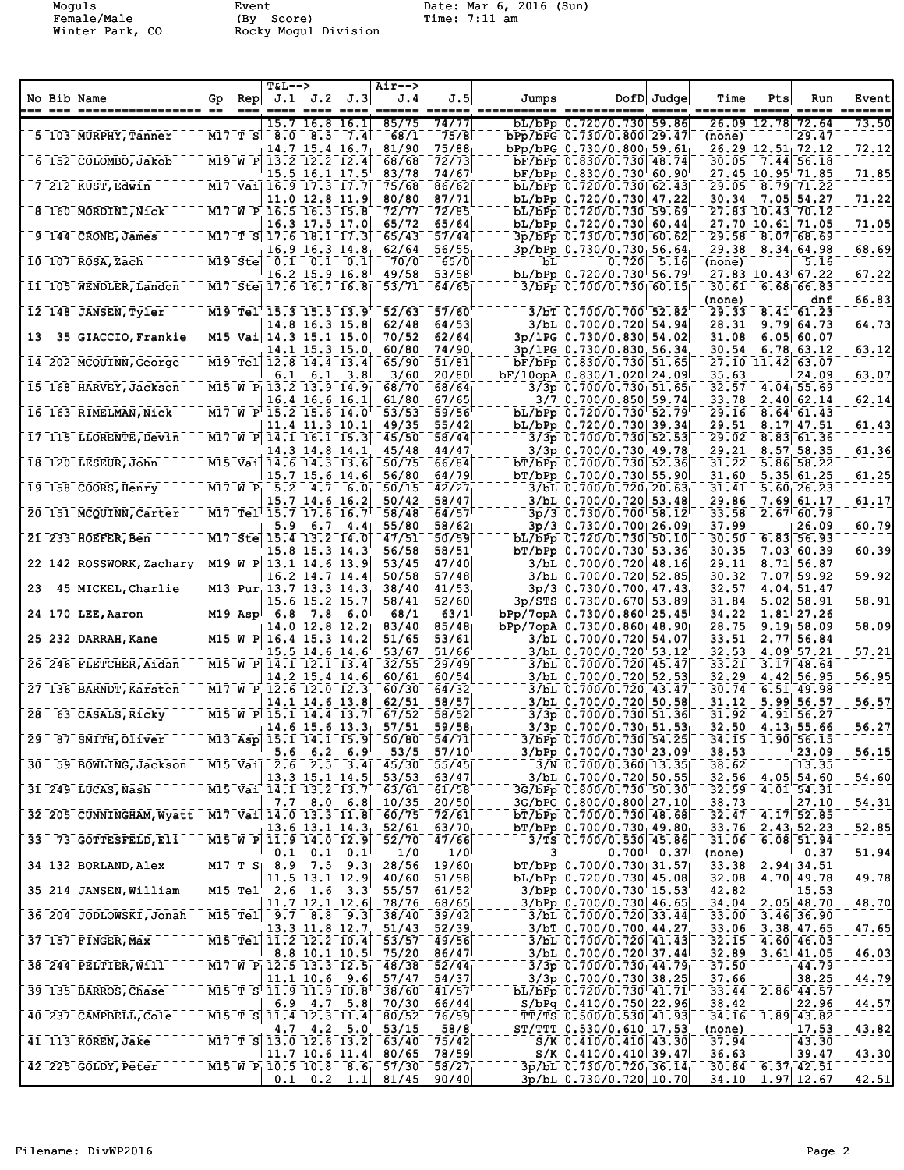Moguls Event Date: Mar 6, 2016 (Sun)<br>
Female/Male (By Score) Time: 7:11 am<br>
Winter Park, CO Rocky Mogul Division Female/Male (By Score) Time: 7:11 am Winter Park, CO Rocky Mogul Division

| No Bib Name     |                                              | Gp | Rep      | <b>T&amp;L--&gt;</b>                                                                                 | J.1 J.2 J.3                           |     | Air--><br>J.4  | J.5                   | Jumps |                                                        | DofD Judge   | Time            | Pts           | Run                                    | Event        |
|-----------------|----------------------------------------------|----|----------|------------------------------------------------------------------------------------------------------|---------------------------------------|-----|----------------|-----------------------|-------|--------------------------------------------------------|--------------|-----------------|---------------|----------------------------------------|--------------|
|                 | 5 103 MURPHY, Tanner                         |    |          | 15.7<br>$M17$ T S $8.0$                                                                              | 16.8 16.1<br>8.5                      | 7.4 | 85/75<br>68/1  | 74/77<br>75/8         |       | bL/bPp 0.720/0.730 59.86<br>bPp/bPG 0.730/0.800 29.47  |              | (none)          | 26.09 12.78   | 72.64<br>29.47                         | 73.50        |
|                 |                                              |    |          | $14.7$ 15.4 16.7                                                                                     |                                       |     | 81/90<br>68/68 | 75/88<br>72/73        |       | $bPp/bPG$ 0.730/0.800 59.61                            |              |                 |               | 26.29 12.51 72.12                      | 72.12        |
|                 | 6 152 COLOMBO, Jakob                         |    |          | M19 W P 13.2 12.2 12.4                                                                               | 15.5 16.1 17.5                        |     | 83/78          | 74/67                 |       | bF/bPp 0.830/0.730 48.74<br>bF/bPp 0.830/0.730 60.90   |              | 30.05           |               | 7.44 56.18<br>27.45 10.95 71.85        | 71.85        |
|                 | $7$   212 $\overline{\text{KUST}}$ , Edwin   |    |          | M17 Vai 16.9 17.3 17.7                                                                               | 11.0 12.8 11.9                        |     | 75/68<br>80/80 | 86/62<br>87/71        |       | bL/bPp 0.720/0.730 62.43<br>bL/bPp 0.720/0.730 47.22   |              | 29.05<br>30.34  |               | $8.79$ $71.22$<br>$7.05$ 54.27         | 71.22        |
|                 | 8 160 MORDINI, Nick                          |    |          | M17 W P 16.5 16.3 15.8                                                                               |                                       |     | 72/77          | 72/85                 |       | bL/bPp 0.720/0.730 59.69                               |              |                 |               | 27.83 10.43 70.12                      |              |
|                 | $9$ 144 CRONE, James                         |    |          | M17 T S 17.6 18.1 17.3                                                                               | 16.3 17.5 17.0                        |     | 65/72<br>65/43 | 65/64<br>57/44        |       | bL/bPp 0.720/0.730 60.44<br>3p/bPp 0.730/0.730 60.62   |              | 29.58           |               | 27.70 10.61 71.05<br>8.07 68.69        | 71.05        |
|                 | $10$   107 ROSA, Zach                        |    | M19 Stel |                                                                                                      | $16.9$ 16.3 14.8<br>$0.1$ $0.1$ $0.1$ |     | 62/64<br>70/0  | 56/55<br>65/0         | bL.   | 3p/bPp 0.730/0.730 56.64                               | 0.720   5.16 | (none)          |               | $29.38$ $8.34$ 64.98<br>5.16           | 68.69        |
|                 | 11  105 WENDLER, Landon                      |    |          | M17 Ste 17.6 16.7 16.8                                                                               | 16.2 15.9 16.8                        |     | 49/58<br>53/71 | 53/58<br>64/65        |       | bL/bPp 0.720/0.730 56.79<br>3/bPp 0.700/0.730 60.15    |              | 30.61           |               | 27.83 10.43 67.22<br>$6.68$ 66.83      | 67.22        |
|                 | 12 148 JANSEN, Tyler                         |    |          | M19 Tel 15.3 15.5 13.9                                                                               |                                       |     | 52/63          | 57/60                 |       | 3/bT 0.700/0.700 52.82                                 |              | (none)<br>29.33 |               | dnf<br>8.41 61.23                      | 66.83        |
| 13 <sub>1</sub> | 35 GIACCIO, Frankie                          |    |          | M15 Vai 14.3 15.1 15.0                                                                               | 14.8 16.3 15.8                        |     | 62/48<br>70/52 | 64/53<br>62/64        |       | 3/bL 0.700/0.720 54.94<br>3p/1PG 0.730/0.830 54.02     |              | 28.31<br>31.08  |               | 9.79664.73<br>6.05  60.07              | 64.73        |
|                 |                                              |    |          |                                                                                                      | 14.1 15.3 15.0                        |     | 60/80          | 74/90                 |       | 3p/1PG 0.730/0.830 56.34                               |              | 30.54           |               | 6.78, 63.12                            | 63.12        |
|                 | 14 202 MCQUINN, George                       |    |          | M19 Tel 12.8 14.4 13.4<br>6.1                                                                        | 6.1                                   | 3.8 | 65/90<br>3/60  | 51/81<br>20/80        |       | bF/bPp 0.830/0.730 51.65<br>bF/10opA 0.830/1.020 24.09 |              | 35.63           | $27.10$ 11.42 | 63.07<br>24.09                         | 63.07        |
|                 | 15 168 HARVEY, Jackson                       |    |          | M15 W P $13.2$ 13.9 14.9                                                                             | 16.4 16.6 16.1                        |     | 68/70<br>61/80 | 68/64<br>67/65        |       | $3/3p$ 0.700/0.730 $51.65p$<br>3/7 0.700/0.850 59.74   |              | 32.57<br>33.78  |               | 4.04, 55.69<br>$2.40\,62.14$           | 62.14        |
|                 | 16 163 RIMELMAN, Nick                        |    |          | M17 W P 15.2 15.6 14.0                                                                               |                                       |     | 53/53          | 59/56                 |       | bL/bPp 0.720/0.730 52.79                               |              | 29.16           |               | $8.64 \ 61.43$                         |              |
|                 | 17 115 LLORENTE, Devin                       |    |          | M17 W P $14.1$ 16.1 15.3                                                                             | $11.4$ 11.3 10.1                      |     | 49/35<br>45/50 | 55/42<br>58/44        |       | bL/bPp 0.720/0.730 39.34<br>$3/3p$ 0.700/0.730 52.53   |              | 29.51<br>29.02  |               | $8.17$ 47.51<br>8.83 61.36             | 61.43        |
|                 | 18 120 LESEUR, John                          |    |          | M15 Vai 14.6 14.3 13.6                                                                               | 14.3 14.8 14.1                        |     | 45/48<br>50/75 | 44/47<br>66/84        |       | 3/3p 0.700/0.730 49.78<br>bT/bPp 0.700/0.730 52.36     |              | 29.21<br>31.22  |               | 8.57 58.35<br>5.86 58.22               | 61.36        |
|                 | $191158$ COORS, Henry                        |    |          | $M17$ W P <sub>1</sub> 5.2                                                                           | 15.7 15.6 14.6<br>$4.7 \quad 6.0$     |     | 56/80<br>50/15 | 64/79<br>42/27        |       | bT/bPp 0.700/0.730 55.90<br>$3/bL$ 0.700/0.720 20.63   |              | 31.60<br>31.41  |               | 5.35   61.25<br>$5.60 \, 26.23$        | 61.25        |
|                 |                                              |    |          |                                                                                                      | 15.7 14.6 16.2                        |     | 50/42          | 58/47                 |       | 3/bL 0.700/0.720 53.48                                 |              | 29.86           |               | 7.6961.17                              | 61.17        |
|                 | 20 151 MCQUINN, Carter                       |    |          | M17 Tel 15.7 17.6 16.7                                                                               | $5.9 \t6.7 \t4.4$                     |     | 58/48<br>55/80 | 64/57<br>58/62        |       | 3p/3 0.730/0.700 58.12<br>3p/3 0.730/0.700 26.09       |              | 33.58<br>37.99  |               | $2.67 \cdot 60.79$<br>26.09            | 60.79        |
|                 | $21$ <sup><math>233</math></sup> HOEFER, Ben |    |          | M17 Ste 15.4 13.2 14.0                                                                               | 15.8 15.3 14.3                        |     | 47/51<br>56/58 | 50/59<br>58/51        |       | bL/bPp 0.720/0.730 50.10<br>bT/bPp 0.700/0.730 53.36   |              | 30.50<br>30.35  |               | 6.83 56.93<br>7.03 60.39               | 60.39        |
| 22              | 142 ROSSWORK, Zachary M19 W P 13.1 14.6 13.9 |    |          |                                                                                                      |                                       |     | 53/45          | 47/40                 |       | 3/bL 0.700/0.720 48.16                                 |              | 29.11           |               | $8.71$ 56.87                           |              |
| 23 <sub>1</sub> | 45 MICKEL, Charlie                           |    |          | M13 Pur 13.7 13.3 14.3                                                                               | 16.2 14.7 14.4                        |     | 50/58<br>38/40 | 57/48<br>41/53        |       | 3/bL 0.700/0.720 52.85<br>3p/3 0.730/0.700 47.43       |              | 30.32<br>32.57  |               | $7.07$ 59.92<br>4.04.51.47             | 59.92        |
|                 | $24$ <sup><math>-170</math></sup> LEE, Aaron |    |          | $M19$ Asp <sup>1</sup> 6.8                                                                           | 15.6 15.2 15.7<br>$7.8\quad 6.01$     |     | 58/41<br>68/1  | 52/60<br>63/1         |       | 3p/STS 0.730/0.670 53.89<br>bPp/7opA 0.730/0.860 25.45 |              | 31.84<br>34.22  | 5.02          | 58.91<br>$1.81$ <sup>27.26</sup>       | 58.91        |
|                 |                                              |    |          | $14.0$ 12.8 12.2                                                                                     |                                       |     | 83/40          | 85/48                 |       | bPp/7opA 0.730/0.860 48.90                             |              | 28.75           |               | 9.19, 58.09                            | 58.09        |
|                 | 25 232 DARRAH, Kane                          |    |          | M15 W P 16.4 15.3 14.2                                                                               | 15.5 14.6 14.6                        |     | 51/65<br>53/67 | 53/61<br>51/66        |       | 3/bL 0.700/0.720 54.07<br>3/bL 0.700/0.720 53.12       |              | 33.51<br>32.53  | 2.77          | 56.84<br>4.09 57.21                    | 57.21        |
|                 | 26 246 FLETCHER, Aidan                       |    |          | M15 W P 14.1 12.1 13.4                                                                               | $14.2$ 15.4 14.6                      |     | 32/55<br>60/61 | 29/49<br>60/54        |       | 3/bL 0.700/0.720 45.47<br>3/bL 0.700/0.720 52.53       |              | 33.21<br>32.29  |               | $3.17$ 48.64<br>4.42 56.95             | 56.95        |
|                 | 27 136 BARNDT, Karsten                       |    |          | M17 W P 12.6 12.0 12.3                                                                               | 14.1 14.6 13.8                        |     | 60/30<br>62/51 | 64/32<br>58/57        |       | 3/bL 0.700/0.720 43.47<br>3/bL 0.700/0.720 50.58       |              | 30.74<br>31.12  |               | 6.51, 49.98<br>5.99 56.57              | 56.57        |
| 28 <sup>1</sup> | 63 CASALS, Ricky                             |    |          | M15 W P 15.1 14.4 13.7                                                                               |                                       |     | 67/52          | 58/52                 |       | 3/3p 0.700/0.730 51.36                                 |              | 31.92           |               | 4.91 56.27                             |              |
| $\overline{29}$ | 87 SMITH, Oliver                             |    |          | $\overline{M13}$ Asp $\overline{15.1}$ $\overline{14.1}$ $\overline{15.9}$                           | $14.6$ 15.6 13.3                      |     | 57/51<br>50/80 | 59/58<br>54/71        |       | $3/3p$ 0.700/0.730 $51.53$<br>3/bPp 0.700/0.730 54.25  |              | 32.50<br>34.15  |               | 4.13, 55.66<br>1.90 56.15              | 56.27        |
|                 | 30 59 BOWLING, Jackson                       |    |          | 5.6<br>M15 Vai 2.6 2.5 3.4                                                                           | 6.2                                   | 6.9 | 53/5<br>45/30  | 57/10<br>55/45        |       | 3/bPp 0.700/0.730 23.09<br>3/N 0.700/0.360 13.35       |              | 38.53<br>38.62  |               | 23.09<br>13.35                         | 56.15        |
|                 |                                              |    |          |                                                                                                      | $13.3$ 15.1 14.5                      |     | 53/53          | 63/47                 |       | 3/bL 0.700/0.720 50.55                                 |              |                 |               | $32.56$ 4.05 54.60                     | 54.60        |
|                 | 31 249 LUCAS, Nash                           |    |          | M15 Vai 14.1 13.2 13.7                                                                               | $7.7$ 8.0 6.8                         |     | 63/61<br>10/35 | 61/58<br>20/50        |       | 3G/bPp 0.800/0.730 50.30<br>3G/bPG 0.800/0.800 27.10   |              | 32.59<br>38.73  |               | 4.01 54.31<br>27.10                    | <u>54.31</u> |
|                 | 32 205 CUNNINGHAM, Wyatt                     |    |          | M17 Vai 14.0 13.3 11.8                                                                               | $13.6$ $13.1$ $14.3$                  |     | 60/75<br>52/61 | 72/61<br>63/70        |       | bT/bPp 0.700/0.730 48.68<br>$bT/bPp 0.700/0.730$ 49.80 |              | 32.47<br>33.76  |               | $4.17$ 52.85<br>2.43, 52.23            | 52.85        |
| 33              | 73 GOTTESFELD, Eli                           |    |          | $\overline{M15}$ $\overline{W}$ $\overline{P}$ $\overline{11.9}$ $\overline{14.0}$ $\overline{12.9}$ | $0.1$ $0.1$ $0.1$                     |     | 52/70<br>1/0   | 47/66<br>1/0          | 3     | 3/TS 0.700/0.530 45.86                                 | $0.700$ 0.37 | 31.06<br>(none) |               | $6.08$ 51.94<br>0.37                   |              |
|                 | 34 132 BORLAND, Alex                         |    |          | M17 T S  8.9 7.5 9.3                                                                                 |                                       |     | 28/56          | $\lceil 19/60 \rceil$ |       | bT/bPp 0.700/0.730 31.57                               |              | 33.38           |               | $2.94$ 34.51                           | <u>51.94</u> |
|                 | 35 214 JANSEN, William                       |    |          | M15 Tel 2.6                                                                                          | 11.5 13.1 12.9<br>$1.6$ 3.3           |     | 40/60<br>55/57 | 51/58<br>61/52        |       | bL/bPp 0.720/0.730 45.08<br>3/bPp 0.700/0.730 15.53    |              | 32.08<br>42.82  |               | 4.70 49.78<br>15.53                    | 49.78        |
|                 | 36 204 JODLOWSKI, Jonah                      |    |          | M15 Tel 9.7 8.8 9.3                                                                                  | $11.7$ 12.1 12.6                      |     | 78/76<br>38/40 | 68/65<br>39/42        |       | $3/b$ Pp $0.700/0.730$ 46.65<br>3/bL 0.700/0.720 33.44 |              | 34.04<br>33.00  |               | $2.05$ 48.70<br>3.46 36.90             | 48.70        |
|                 | 37 157 FINGER, Max                           |    |          | M15 Tel 11.2 12.2 10.4                                                                               | $13.3$ $11.8$ $12.7$                  |     | 51/43<br>53/57 | 52/39<br>49/56        |       | 3/bT 0.700/0.700 44.27<br>3/bL 0.700/0.720 41.43       |              | 33.06<br>32.15  |               | 3.38, 47.65<br>4.60 46.03              | 47.65        |
|                 | 38 244 PELTIER, Will                         |    |          | M17 W P $12.5$ 13.3 12.5                                                                             | 8.8 10.1 10.5                         |     | 75/20<br>48/38 | 86/47<br>52/44        |       | 3/bL 0.700/0.720 37.44<br>$3/3p$ 0.700/0.730 44.79     |              | 32.89<br>37.50  |               | $3.61$ 41.05<br>44.79                  | 46.03        |
|                 | 39 135 BARROS, Chase                         |    |          | M15 T S 11.9 11.9 10.8                                                                               | $11.1$ 10.6 9.6                       |     | 57/47<br>38/60 | 54/37<br>41/57        |       | $3/3p$ 0.700/0.730 38.25<br>bL/bPp 0.720/0.730 41.71   |              | 37.66           |               | 38.25<br>$33.44$ $2.86$ $44.57$        | 44.79        |
|                 | 40 237 CAMPBELL, Cole                        |    |          | M15 T S 11.4 12.3 11.4                                                                               | $6.9$ $4.7$ $5.8$                     |     | 70/30<br>80/52 | 66/44<br>76/59        |       | $S/bPg$ 0.410/0.750 22.96<br>TT/TS 0.500/0.530 41.93   |              | 38.42<br>34.16  |               | 22.96<br>1.89 43.82                    | 44.57        |
|                 |                                              |    |          |                                                                                                      | $4.7$ $4.2$ $5.0$                     |     | 53/15          | 58/8                  |       | ST/TTT 0.530/0.610 17.53                               |              | (none)          |               | 17.53                                  | 43.82        |
|                 | $41$ <sup>-113</sup> KOREN, Jake             |    |          | M17 T S 13.0 12.6 13.2                                                                               | $11.7$ 10.6 11.4                      |     | 63/40<br>80/65 | 75/42<br>78/59        |       | $S/K$ 0.410/0.410 43.30<br>S/K 0.410/0.410 39.47       |              | 37.94<br>36.63  |               | 43.30<br>39.47                         | <u>43.30</u> |
|                 | 42 225 GOLDY, Peter                          |    |          | M15 W P <sub>1</sub> 10.5 10.8 8.6 <sub>1</sub>                                                      | $0.1 \quad 0.2 \quad 1.1$             |     | 57/30<br>81/45 | 58/27<br>90/40        |       | 3p/bL 0.730/0.720 36.14<br>3p/bL 0.730/0.720 10.70     |              |                 |               | $30.84$ 6.37 42.51<br>34.10 1.97 12.67 | 42.51        |